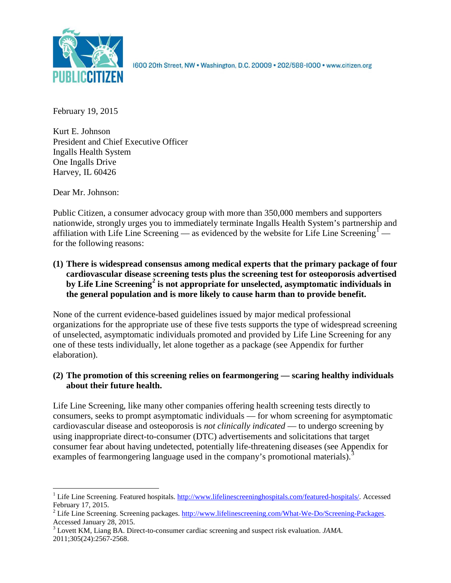

1600 20th Street, NW . Washington, D.C. 20009 . 202/588-1000 . www.citizen.org

February 19, 2015

Kurt E. Johnson President and Chief Executive Officer Ingalls Health System One Ingalls Drive Harvey, IL 60426

Dear Mr. Johnson:

Public Citizen, a consumer advocacy group with more than 350,000 members and supporters nationwide, strongly urges you to immediately terminate Ingalls Health System's partnership and affiliation with Life Line Screening — as evidenced by the website for Life Line Screening<sup>[1](#page-0-0)</sup> – for the following reasons:

**(1) There is widespread consensus among medical experts that the primary package of four cardiovascular disease screening tests plus the screening test for osteoporosis advertised by Life Line Screening[2](#page-0-1) is not appropriate for unselected, asymptomatic individuals in the general population and is more likely to cause harm than to provide benefit.**

None of the current evidence-based guidelines issued by major medical professional organizations for the appropriate use of these five tests supports the type of widespread screening of unselected, asymptomatic individuals promoted and provided by Life Line Screening for any one of these tests individually, let alone together as a package (see Appendix for further elaboration).

## **(2) The promotion of this screening relies on fearmongering — scaring healthy individuals about their future health.**

Life Line Screening, like many other companies offering health screening tests directly to consumers, seeks to prompt asymptomatic individuals — for whom screening for asymptomatic cardiovascular disease and osteoporosis is *not clinically indicated* — to undergo screening by using inappropriate direct-to-consumer (DTC) advertisements and solicitations that target consumer fear about having undetected, potentially life-threatening diseases (see Appendix for examples of fearmongering language used in the company's promotional materials).<sup>[3](#page-0-2)</sup>

<span id="page-0-0"></span><sup>&</sup>lt;sup>1</sup> Life Line Screening. Featured hospitals. [http://www.lifelinescreeninghospitals.com/featured-hospitals/.](http://www.lifelinescreeninghospitals.com/featured-hospitals/) Accessed

<span id="page-0-1"></span>February 17, 2015.<br><sup>2</sup> Life Line Screening. Screening packages. [http://www.lifelinescreening.com/What-We-Do/Screening-Packages.](http://www.lifelinescreening.com/What-We-Do/Screening-Packages)<br>Accessed January 28, 2015.

<span id="page-0-2"></span><sup>&</sup>lt;sup>3</sup> Lovett KM, Liang BA. Direct-to-consumer cardiac screening and suspect risk evaluation. *JAMA*. 2011;305(24):2567-2568.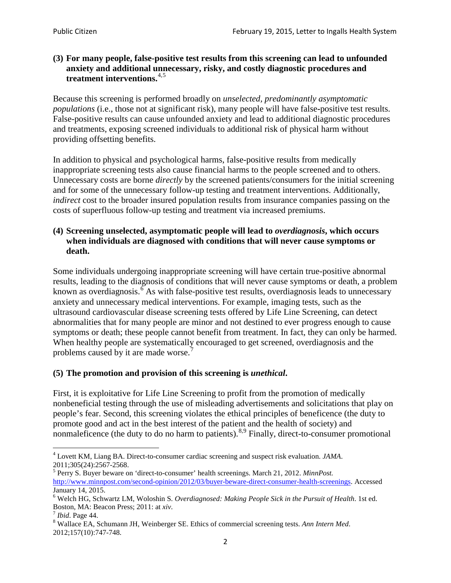### **(3) For many people, false-positive test results from this screening can lead to unfounded anxiety and additional unnecessary, risky, and costly diagnostic procedures and treatment interventions.**[4](#page-1-0),[5](#page-1-1)

Because this screening is performed broadly on *unselected, predominantly asymptomatic populations* (i.e., those not at significant risk), many people will have false**-**positive test results. False-positive results can cause unfounded anxiety and lead to additional diagnostic procedures and treatments, exposing screened individuals to additional risk of physical harm without providing offsetting benefits.

In addition to physical and psychological harms, false-positive results from medically inappropriate screening tests also cause financial harms to the people screened and to others. Unnecessary costs are borne *directly* by the screened patients/consumers for the initial screening and for some of the unnecessary follow-up testing and treatment interventions. Additionally, *indirect* cost to the broader insured population results from insurance companies passing on the costs of superfluous follow-up testing and treatment via increased premiums.

### **(4) Screening unselected, asymptomatic people will lead to** *overdiagnosis***, which occurs when individuals are diagnosed with conditions that will never cause symptoms or death.**

Some individuals undergoing inappropriate screening will have certain true-positive abnormal results, leading to the diagnosis of conditions that will never cause symptoms or death, a problem known as overdiagnosis.<sup>[6](#page-1-2)</sup> As with false-positive test results, overdiagnosis leads to unnecessary anxiety and unnecessary medical interventions. For example, imaging tests, such as the ultrasound cardiovascular disease screening tests offered by Life Line Screening, can detect abnormalities that for many people are minor and not destined to ever progress enough to cause symptoms or death; these people cannot benefit from treatment. In fact, they can only be harmed. When healthy people are systematically encouraged to get screened, overdiagnosis and the problems caused by it are made worse.<sup>[7](#page-1-3)</sup>

# **(5) The promotion and provision of this screening is** *unethical***.**

First, it is exploitative for Life Line Screening to profit from the promotion of medically nonbeneficial testing through the use of misleading advertisements and solicitations that play on people's fear. Second, this screening violates the ethical principles of beneficence (the duty to promote good and act in the best interest of the patient and the health of society) and nonmaleficence (the duty to do no harm to patients).<sup>[8](#page-1-4),[9](#page-1-5)</sup> Finally, direct-to-consumer promotional

<span id="page-1-5"></span><span id="page-1-0"></span><sup>4</sup> Lovett KM, Liang BA. Direct-to-consumer cardiac screening and suspect risk evaluation. *JAMA*.

<span id="page-1-1"></span><sup>2011;305(24):2567-2568.</sup> <sup>5</sup> Perry S. Buyer beware on 'direct-to-consumer' health screenings. March 21, 2012. *MinnPost.*  [http://www.minnpost.com/second-opinion/2012/03/buyer-beware-direct-consumer-health-screenings.](http://www.minnpost.com/second-opinion/2012/03/buyer-beware-direct-consumer-health-screenings) Accessed January 14, 2015.

<span id="page-1-2"></span><sup>6</sup> Welch HG, Schwartz LM, Woloshin S. *Overdiagnosed: Making People Sick in the Pursuit of Health*. 1st ed. Boston, MA: Beacon Press; 2011: at *xiv*.<br><sup>7</sup> *Ibid*. Page 44.<br><sup>8</sup> Wallace EA, Schumann JH, Weinberger SE. Ethics of commercial screening tests. *Ann Intern Med*.

<span id="page-1-3"></span>

<span id="page-1-4"></span><sup>2012;157(10):747-748.</sup>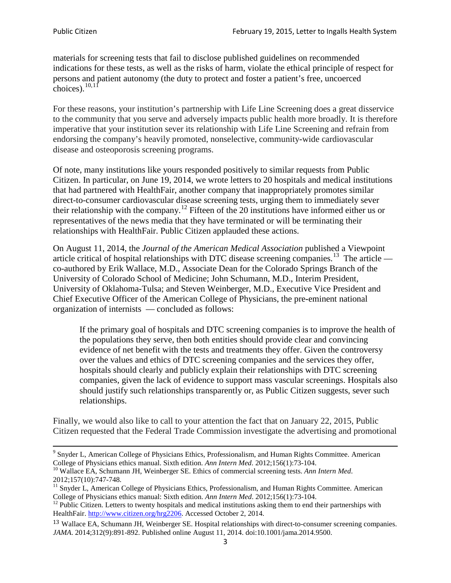materials for screening tests that fail to disclose published guidelines on recommended indications for these tests, as well as the risks of harm, violate the ethical principle of respect for persons and patient autonomy (the duty to protect and foster a patient's free, uncoerced choices). $\frac{10,11}{10,11}$  $\frac{10,11}{10,11}$  $\frac{10,11}{10,11}$  $\frac{10,11}{10,11}$ 

For these reasons, your institution's partnership with Life Line Screening does a great disservice to the community that you serve and adversely impacts public health more broadly. It is therefore imperative that your institution sever its relationship with Life Line Screening and refrain from endorsing the company's heavily promoted, nonselective, community**-**wide cardiovascular disease and osteoporosis screening programs.

Of note, many institutions like yours responded positively to similar requests from Public Citizen. In particular, on June 19, 2014, we wrote letters to 20 hospitals and medical institutions that had partnered with HealthFair, another company that inappropriately promotes similar direct-to-consumer cardiovascular disease screening tests, urging them to immediately sever their relationship with the company. [12](#page-2-2) Fifteen of the 20 institutions have informed either us or representatives of the news media that they have terminated or will be terminating their relationships with HealthFair. Public Citizen applauded these actions.

On August 11, 2014, the *Journal of the American Medical Association* published a Viewpoint article critical of hospital relationships with DTC disease screening companies.<sup>13</sup> The article co-authored by Erik Wallace, M.D., Associate Dean for the Colorado Springs Branch of the University of Colorado School of Medicine; John Schumann, M.D., Interim President, University of Oklahoma-Tulsa; and Steven Weinberger, M.D., Executive Vice President and Chief Executive Officer of the American College of Physicians, the pre**-**eminent national organization of internists — concluded as follows:

If the primary goal of hospitals and DTC screening companies is to improve the health of the populations they serve, then both entities should provide clear and convincing evidence of net benefit with the tests and treatments they offer. Given the controversy over the values and ethics of DTC screening companies and the services they offer, hospitals should clearly and publicly explain their relationships with DTC screening companies, given the lack of evidence to support mass vascular screenings. Hospitals also should justify such relationships transparently or, as Public Citizen suggests, sever such relationships.

Finally, we would also like to call to your attention the fact that on January 22, 2015, Public Citizen requested that the Federal Trade Commission investigate the advertising and promotional

<sup>&</sup>lt;sup>9</sup> Snyder L, American College of Physicians Ethics, Professionalism, and Human Rights Committee. American College of Physicians ethics manual. Sixth edition. Ann Intern Med. 2012;156(1):73-104.

<span id="page-2-0"></span><sup>&</sup>lt;sup>10</sup> Wallace EA, Schumann JH, Weinberger SE. Ethics of commercial screening tests. *Ann Intern Med*. 2012;157(10):747-748.

<span id="page-2-1"></span> $11$  Snyder L, American College of Physicians Ethics, Professionalism, and Human Rights Committee. American College of Physicians ethics manual: Sixth edition. *Ann Intern Med*. 2012;156(1):73-104.<br><sup>12</sup> Public Citizen. Letters to twenty hospitals and medical institutions asking them to end their partnerships with

<span id="page-2-2"></span>HealthFair. [http://www.citizen.org/hrg2206.](http://www.citizen.org/hrg2206) Accessed October 2, 2014.

<span id="page-2-3"></span><sup>13</sup> Wallace EA, Schumann JH, Weinberger SE. Hospital relationships with direct-to-consumer screening companies. *JAMA*. 2014;312(9):891-892. Published online August 11, 2014. doi:10.1001/jama.2014.9500.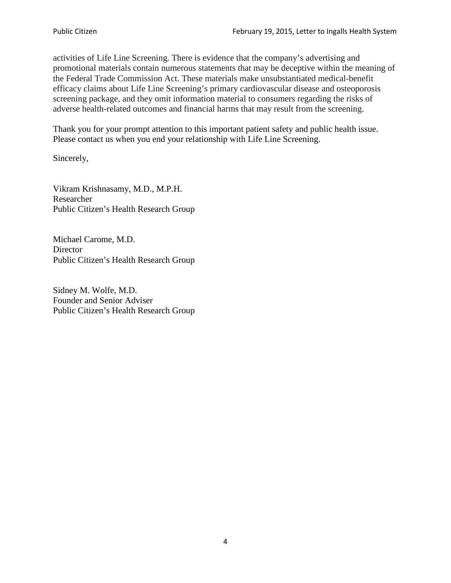activities of Life Line Screening. There is evidence that the company's advertising and promotional materials contain numerous statements that may be deceptive within the meaning of the Federal Trade Commission Act. These materials make unsubstantiated medical-benefit efficacy claims about Life Line Screening's primary cardiovascular disease and osteoporosis screening package, and they omit information material to consumers regarding the risks of adverse health-related outcomes and financial harms that may result from the screening.

Thank you for your prompt attention to this important patient safety and public health issue. Please contact us when you end your relationship with Life Line Screening.

Sincerely,

Vikram Krishnasamy, M.D., M.P.H. Researcher Public Citizen's Health Research Group

Michael Carome, M.D. **Director** Public Citizen's Health Research Group

Sidney M. Wolfe, M.D. Founder and Senior Adviser Public Citizen's Health Research Group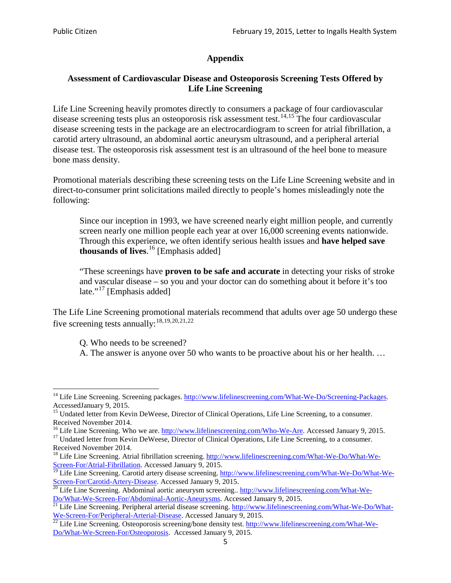## **Appendix**

## **Assessment of Cardiovascular Disease and Osteoporosis Screening Tests Offered by Life Line Screening**

Life Line Screening heavily promotes directly to consumers a package of four cardiovascular disease screening tests plus an osteoporosis risk assessment test.<sup>[14](#page-4-0),[15](#page-4-1)</sup> The four cardiovascular disease screening tests in the package are an electrocardiogram to screen for atrial fibrillation, a carotid artery ultrasound, an abdominal aortic aneurysm ultrasound, and a peripheral arterial disease test. The osteoporosis risk assessment test is an ultrasound of the heel bone to measure bone mass density.

Promotional materials describing these screening tests on the Life Line Screening website and in direct-to-consumer print solicitations mailed directly to people's homes misleadingly note the following:

Since our inception in 1993, we have screened nearly eight million people, and currently screen nearly one million people each year at over 16,000 screening events nationwide. Through this experience, we often identify serious health issues and **have helped save thousands of lives**. [16](#page-4-2) [Emphasis added]

"These screenings have **proven to be safe and accurate** in detecting your risks of stroke and vascular disease – so you and your doctor can do something about it before it's too late."<sup>[17](#page-4-3)</sup> [Emphasis added]

The Life Line Screening promotional materials recommend that adults over age 50 undergo these five screening tests annually:<sup>[18](#page-4-4),[19,](#page-4-5)[20,](#page-4-6)[21](#page-4-7),[22](#page-4-8)</sup>

Q. Who needs to be screened?

A. The answer is anyone over 50 who wants to be proactive about his or her health. …

<span id="page-4-0"></span><sup>&</sup>lt;sup>14</sup> Life Line Screening. Screening packages. [http://www.lifelinescreening.com/What-We-Do/Screening-Packages.](http://www.lifelinescreening.com/What-We-Do/Screening-Packages) AccessedJanuary 9, 2015.

<span id="page-4-1"></span><sup>&</sup>lt;sup>15</sup> Undated letter from Kevin DeWeese, Director of Clinical Operations, Life Line Screening, to a consumer.

Received November 2014.<br><sup>16</sup> Life Line Screening. Who we are. http://www.lifelinescreening.com/Who-We-Are. Accessed January 9, 2015.

<span id="page-4-3"></span><span id="page-4-2"></span><sup>&</sup>lt;sup>17</sup> Undated letter from Kevin DeWeese, Director of Clinical Operations, Life Line Screening, to a consumer. Received November 2014.

<span id="page-4-4"></span><sup>&</sup>lt;sup>18</sup> Life Line Screening. Atrial fibrillation screening. [http://www.lifelinescreening.com/What-We-Do/What-We-](http://www.lifelinescreening.com/What-We-Do/What-We-Screen-For/Atrial-Fibrillation)[Screen-For/Atrial-Fibrillation.](http://www.lifelinescreening.com/What-We-Do/What-We-Screen-For/Atrial-Fibrillation) Accessed January 9, 2015.

<sup>&</sup>lt;sup>19</sup> Life Line Screening. Carotid artery disease screening. [http://www.lifelinescreening.com/What-We-Do/What-We-](http://www.lifelinescreening.com/What-We-Do/What-We-Screen-For/Carotid-Artery-Disease)

<span id="page-4-6"></span><span id="page-4-5"></span>[Screen-For/Carotid-Artery-Disease.](http://www.lifelinescreening.com/What-We-Do/What-We-Screen-For/Carotid-Artery-Disease) Accessed January 9, 2015.<br><sup>20</sup> Life Line Screening. Abdominal aortic aneurysm screening.. http://www.lifelinescreening.com/What-We-Do/What-We-Do/What-We-Screen-For/Abdominal-Aortic-Aneury

<span id="page-4-7"></span><sup>&</sup>lt;sup>21</sup> Life Line Screening. Peripheral arterial disease screening. [http://www.lifelinescreening.com/What-We-Do/What-](http://www.lifelinescreening.com/What-We-Do/What-We-Screen-For/Peripheral-Arterial-Disease)

<span id="page-4-8"></span>[We-Screen-For/Peripheral-Arterial-Disease.](http://www.lifelinescreening.com/What-We-Do/What-We-Screen-For/Peripheral-Arterial-Disease) Accessed January 9, 2015.<br><sup>22</sup> Life Line Screening. Osteoporosis screening/bone density test. [http://www.lifelinescreening.com/What-We-](http://www.lifelinescreening.com/What-We-Do/What-We-Screen-For/Osteoporosis)[Do/What-We-Screen-For/Osteoporosis.](http://www.lifelinescreening.com/What-We-Do/What-We-Screen-For/Osteoporosis) Accessed January 9, 2015.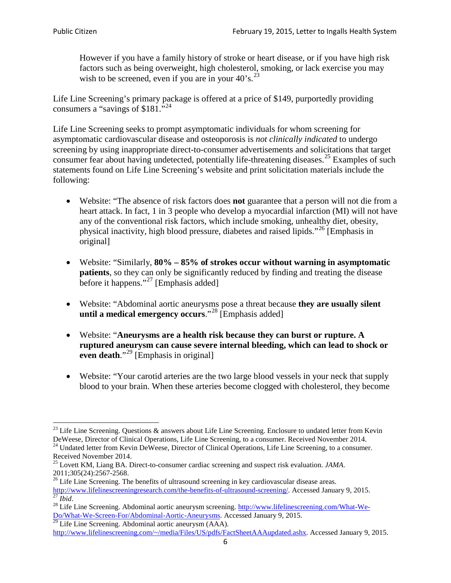However if you have a family history of stroke or heart disease, or if you have high risk factors such as being overweight, high cholesterol, smoking, or lack exercise you may wish to be screened, even if you are in your  $40^\circ$ s.<sup>[23](#page-5-0)</sup>

Life Line Screening's primary package is offered at a price of \$149, purportedly providing consumers a "savings of \$181."<sup>[24](#page-5-1)</sup>

Life Line Screening seeks to prompt asymptomatic individuals for whom screening for asymptomatic cardiovascular disease and osteoporosis is *not clinically indicated* to undergo screening by using inappropriate direct-to-consumer advertisements and solicitations that target consumer fear about having undetected, potentially life-threatening diseases.<sup>[25](#page-5-2)</sup> Examples of such statements found on Life Line Screening's website and print solicitation materials include the following:

- Website: "The absence of risk factors does **not** guarantee that a person will not die from a heart attack. In fact, 1 in 3 people who develop a myocardial infarction (MI) will not have any of the conventional risk factors, which include smoking, unhealthy diet, obesity, physical inactivity, high blood pressure, diabetes and raised lipids."[26](#page-5-3) [Emphasis in original]
- Website: "Similarly, **80% – 85% of strokes occur without warning in asymptomatic patients**, so they can only be significantly reduced by finding and treating the disease before it happens."<sup>[27](#page-5-4)</sup> [Emphasis added]
- Website: "Abdominal aortic aneurysms pose a threat because **they are usually silent until a medical emergency occurs**."[28](#page-5-5) [Emphasis added]
- Website: "**Aneurysms are a health risk because they can burst or rupture. A ruptured aneurysm can cause severe internal bleeding, which can lead to shock or even death.**"<sup>[29](#page-5-6)</sup> [Emphasis in original]
- Website: "Your carotid arteries are the two large blood vessels in your neck that supply blood to your brain. When these arteries become clogged with cholesterol, they become

<span id="page-5-0"></span><sup>&</sup>lt;sup>23</sup> Life Line Screening. Questions  $\&$  answers about Life Line Screening. Enclosure to undated letter from Kevin DeWeese, Director of Clinical Operations, Life Line Screening, to a consumer. Received November 2014.

<span id="page-5-1"></span><sup>&</sup>lt;sup>24</sup> Undated letter from Kevin DeWeese, Director of Clinical Operations, Life Line Screening, to a consumer. Received November 2014.

<span id="page-5-2"></span><sup>25</sup> Lovett KM, Liang BA. Direct-to-consumer cardiac screening and suspect risk evaluation. *JAMA*.  $2011;305(24):2567-2568$ .<br><sup>26</sup> Life Line Screening. The benefits of ultrasound screening in key cardiovascular disease areas.

<span id="page-5-3"></span>[http://www.lifelinescreeningresearch.com/the-benefits-of-ultrasound-screening/.](http://www.lifelinescreeningresearch.com/the-benefits-of-ultrasound-screening/) Accessed January 9, 2015.<br><sup>28</sup> Life Line Screening. Abdominal aortic aneurysm screening. http://www.lifelinescreening.com/What-We-<sup>28</sup>

<span id="page-5-5"></span><span id="page-5-4"></span>[Do/What-We-Screen-For/Abdominal-Aortic-Aneurysms.](http://www.lifelinescreening.com/What-We-Do/What-We-Screen-For/Abdominal-Aortic-Aneurysms) Accessed January 9, 2015. <sup>29</sup> Life Line Screening. Abdominal aortic aneurysm (AAA).

<span id="page-5-6"></span>[http://www.lifelinescreening.com/~/media/Files/US/pdfs/FactSheetAAAupdated.ashx.](http://www.lifelinescreening.com/~/media/Files/US/pdfs/FactSheetAAAupdated.ashx) Accessed January 9, 2015.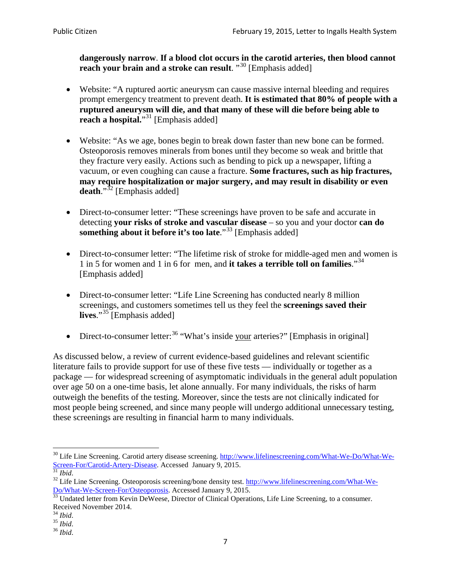**dangerously narrow**. **If a blood clot occurs in the carotid arteries, then blood cannot reach your brain and a stroke can result**. "<sup>[30](#page-6-0)</sup> [Emphasis added]

- Website: "A ruptured aortic aneurysm can cause massive internal bleeding and requires prompt emergency treatment to prevent death. **It is estimated that 80% of people with a ruptured aneurysm will die, and that many of these will die before being able to reach a hospital.**"<sup>[31](#page-6-1)</sup> [Emphasis added]
- Website: "As we age, bones begin to break down faster than new bone can be formed. Osteoporosis removes minerals from bones until they become so weak and brittle that they fracture very easily. Actions such as bending to pick up a newspaper, lifting a vacuum, or even coughing can cause a fracture. **Some fractures, such as hip fractures, may require hospitalization or major surgery, and may result in disability or even**  death."<sup>[32](#page-6-2)</sup> [Emphasis added]
- Direct-to-consumer letter: "These screenings have proven to be safe and accurate in detecting **your risks of stroke and vascular disease** – so you and your doctor **can do something about it before it's too late**."<sup>[33](#page-6-3)</sup> [Emphasis added]
- Direct-to-consumer letter: "The lifetime risk of stroke for middle-aged men and women is 1 in 5 for women and 1 in 6 for men, and **it takes a terrible toll on families**."[34](#page-6-4) [Emphasis added]
- Direct-to-consumer letter: "Life Line Screening has conducted nearly 8 million screenings, and customers sometimes tell us they feel the **screenings saved their lives**."[35](#page-6-5) [Emphasis added]
- Direct-to-consumer letter:  $36$  "What's inside your arteries?" [Emphasis in original]

As discussed below, a review of current evidence-based guidelines and relevant scientific literature fails to provide support for use of these five tests — individually or together as a package — for widespread screening of asymptomatic individuals in the general adult population over age 50 on a one-time basis, let alone annually. For many individuals, the risks of harm outweigh the benefits of the testing. Moreover, since the tests are not clinically indicated for most people being screened, and since many people will undergo additional unnecessary testing, these screenings are resulting in financial harm to many individuals.

<span id="page-6-0"></span><sup>&</sup>lt;sup>30</sup> Life Line Screening. Carotid artery disease screening. [http://www.lifelinescreening.com/What-We-Do/What-We-](http://www.lifelinescreening.com/What-We-Do/What-We-Screen-For/Carotid-Artery-Disease)[Screen-For/Carotid-Artery-Disease.](http://www.lifelinescreening.com/What-We-Do/What-We-Screen-For/Carotid-Artery-Disease) Accessed January 9, 2015.<br><sup>31</sup> *Ibid.* 32 Life Line Screening. Osteoporosis screening/bone density test. [http://www.lifelinescreening.com/What-We-](http://www.lifelinescreening.com/What-We-Do/What-We-Screen-For/Osteoporosis)

<span id="page-6-2"></span><span id="page-6-1"></span>[Do/What-We-Screen-For/Osteoporosis.](http://www.lifelinescreening.com/What-We-Do/What-We-Screen-For/Osteoporosis) Accessed January 9, 2015. <sup>33</sup> Undated letter from Kevin DeWeese, Director of Clinical Operations, Life Line Screening, to a consumer.

<span id="page-6-3"></span>Received November 2014.<br><sup>34</sup> Ibid.

<span id="page-6-4"></span>

<span id="page-6-5"></span><sup>34</sup> *Ibid*. 35 *Ibid*. 36 *Ibid*.

<span id="page-6-6"></span>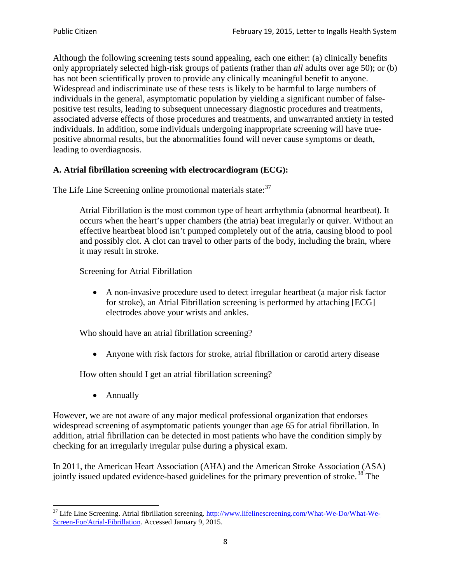Although the following screening tests sound appealing, each one either: (a) clinically benefits only appropriately selected high-risk groups of patients (rather than *all* adults over age 50); or (b) has not been scientifically proven to provide any clinically meaningful benefit to anyone. Widespread and indiscriminate use of these tests is likely to be harmful to large numbers of individuals in the general, asymptomatic population by yielding a significant number of falsepositive test results, leading to subsequent unnecessary diagnostic procedures and treatments, associated adverse effects of those procedures and treatments, and unwarranted anxiety in tested individuals. In addition, some individuals undergoing inappropriate screening will have truepositive abnormal results, but the abnormalities found will never cause symptoms or death, leading to overdiagnosis.

## **A. Atrial fibrillation screening with electrocardiogram (ECG):**

The Life Line Screening online promotional materials state:<sup>[37](#page-7-0)</sup>

Atrial Fibrillation is the most common type of heart arrhythmia (abnormal heartbeat). It occurs when the heart's upper chambers (the atria) beat irregularly or quiver. Without an effective heartbeat blood isn't pumped completely out of the atria, causing blood to pool and possibly clot. A clot can travel to other parts of the body, including the brain, where it may result in stroke.

Screening for Atrial Fibrillation

• A non-invasive procedure used to detect irregular heartbeat (a major risk factor for stroke), an Atrial Fibrillation screening is performed by attaching [ECG] electrodes above your wrists and ankles.

Who should have an atrial fibrillation screening?

• Anyone with risk factors for stroke, atrial fibrillation or carotid artery disease

How often should I get an atrial fibrillation screening?

• Annually

<span id="page-7-1"></span>However, we are not aware of any major medical professional organization that endorses widespread screening of asymptomatic patients younger than age 65 for atrial fibrillation. In addition, atrial fibrillation can be detected in most patients who have the condition simply by checking for an irregularly irregular pulse during a physical exam.

In 2011, the American Heart Association (AHA) and the American Stroke Association (ASA) jointly issued updated evidence-based guidelines for the primary prevention of stroke.<sup>[38](#page-7-1)</sup> The

<span id="page-7-0"></span><sup>&</sup>lt;sup>37</sup> Life Line Screening. Atrial fibrillation screening. [http://www.lifelinescreening.com/What-We-Do/What-We-](http://www.lifelinescreening.com/What-We-Do/What-We-Screen-For/Atrial-Fibrillation)[Screen-For/Atrial-Fibrillation.](http://www.lifelinescreening.com/What-We-Do/What-We-Screen-For/Atrial-Fibrillation) Accessed January 9, 2015.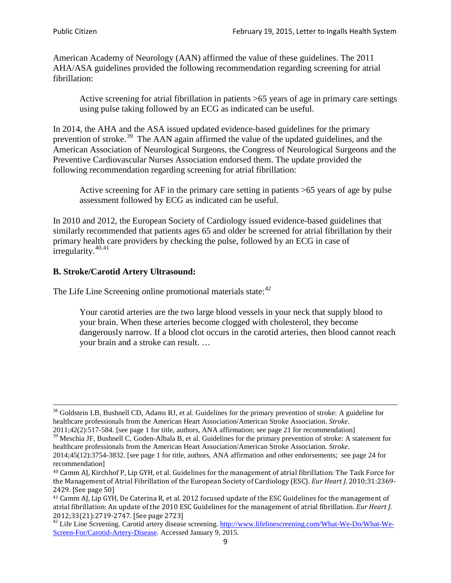American Academy of Neurology (AAN) affirmed the value of these guidelines. The 2011 AHA/ASA guidelines provided the following recommendation regarding screening for atrial fibrillation:

Active screening for atrial fibrillation in patients >65 years of age in primary care settings using pulse taking followed by an ECG as indicated can be useful.

In 2014, the AHA and the ASA issued updated evidence-based guidelines for the primary prevention of stroke.<sup>[39](#page-8-0)</sup> The AAN again affirmed the value of the updated guidelines, and the American Association of Neurological Surgeons, the Congress of Neurological Surgeons and the Preventive Cardiovascular Nurses Association endorsed them. The update provided the following recommendation regarding screening for atrial fibrillation:

Active screening for AF in the primary care setting in patients >65 years of age by pulse assessment followed by ECG as indicated can be useful.

In 2010 and 2012, the European Society of Cardiology issued evidence-based guidelines that similarly recommended that patients ages 65 and older be screened for atrial fibrillation by their primary health care providers by checking the pulse, followed by an ECG in case of irregularity. $40,41$  $40,41$ 

## **B. Stroke/Carotid Artery Ultrasound:**

The Life Line Screening online promotional materials state:<sup>[42](#page-8-3)</sup>

Your carotid arteries are the two large blood vessels in your neck that supply blood to your brain. When these arteries become clogged with cholesterol, they become dangerously narrow. If a blood clot occurs in the carotid arteries, then blood cannot reach your brain and a stroke can result. …

<sup>&</sup>lt;sup>38</sup> Goldstein LB, Bushnell CD, Adams RJ, et al. Guidelines for the primary prevention of stroke: A guideline for healthcare professionals from the American Heart Association/American Stroke Association. *Stroke*.

<sup>2011;42(2):517-584.</sup> [see page 1 for title, authors, ANA affirmation; see page 21 for recommendation]

<span id="page-8-0"></span> $\frac{2011,42(2)(317,601)}{39}$  Meschia JF, Bushnell C, Goden-Albala B, et al. Guidelines for the primary prevention of stroke: A statement for healthcare professionals from the American Heart Association/American Stroke Association. *Stroke*.

<sup>2014;45(12):3754-3832.</sup> [see page 1 for title, authors, ANA affirmation and other endorsements; see page 24 for recommendation]

<span id="page-8-1"></span><sup>40</sup> Camm AJ, Kirchhof P, Lip GYH, et al. Guidelines for the management of atrial fibrillation: The Task Force for the Management of Atrial Fibrillation of the European Society of Cardiology (ESC). *Eur Heart J*. 2010;31:2369- 2429. [See page 50]

<span id="page-8-2"></span><sup>41</sup> Camm AJ, Lip GYH, De Caterina R, et al. 2012 focused update of the ESC Guidelines for the management of atrial fibrillation: An update of the 2010 ESC Guidelines for the management of atrial fibrillation. *Eur Heart J*.

<span id="page-8-3"></span><sup>&</sup>lt;sup>2012</sup>;23(21):2719-2747. [See page 273] 42 Life Line Screening. [http://www.lifelinescreening.com/What-We-Do/What-We-](http://www.lifelinescreening.com/What-We-Do/What-We-Screen-For/Carotid-Artery-Disease)[Screen-For/Carotid-Artery-Disease.](http://www.lifelinescreening.com/What-We-Do/What-We-Screen-For/Carotid-Artery-Disease) Accessed January 9, 2015.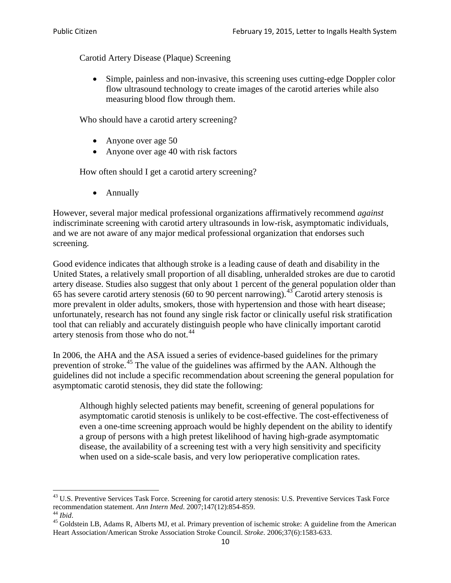Carotid Artery Disease (Plaque) Screening

• Simple, painless and non-invasive, this screening uses cutting-edge Doppler color flow ultrasound technology to create images of the carotid arteries while also measuring blood flow through them.

Who should have a carotid artery screening?

- Anyone over age 50
- Anyone over age 40 with risk factors

How often should I get a carotid artery screening?

• Annually

However, several major medical professional organizations affirmatively recommend *against* indiscriminate screening with carotid artery ultrasounds in low-risk, asymptomatic individuals, and we are not aware of any major medical professional organization that endorses such screening.

Good evidence indicates that although stroke is a leading cause of death and disability in the United States, a relatively small proportion of all disabling, unheralded strokes are due to carotid artery disease. Studies also suggest that only about 1 percent of the general population older than 65 has severe carotid artery stenosis (60 to 90 percent narrowing).<sup>[43](#page-9-0)</sup> Carotid artery stenosis is more prevalent in older adults, smokers, those with hypertension and those with heart disease; unfortunately, research has not found any single risk factor or clinically useful risk stratification tool that can reliably and accurately distinguish people who have clinically important carotid artery stenosis from those who do not.<sup>[44](#page-9-1)</sup>

In 2006, the AHA and the ASA issued a series of evidence-based guidelines for the primary prevention of stroke.<sup>[45](#page-9-2)</sup> The value of the guidelines was affirmed by the AAN. Although the guidelines did not include a specific recommendation about screening the general population for asymptomatic carotid stenosis, they did state the following:

Although highly selected patients may benefit, screening of general populations for asymptomatic carotid stenosis is unlikely to be cost-effective. The cost-effectiveness of even a one-time screening approach would be highly dependent on the ability to identify a group of persons with a high pretest likelihood of having high-grade asymptomatic disease, the availability of a screening test with a very high sensitivity and specificity when used on a side-scale basis, and very low perioperative complication rates.

<span id="page-9-0"></span> $^{43}$  U.S. Preventive Services Task Force. Screening for carotid artery stenosis: U.S. Preventive Services Task Force recommendation statement. Ann Intern Med. 2007;147(12):854-859.

<span id="page-9-2"></span><span id="page-9-1"></span><sup>&</sup>lt;sup>44</sup> *Ibid*. <sup>45</sup> Goldstein LB, Adams R, Alberts MJ, et al. Primary prevention of ischemic stroke: A guideline from the American <sup>45</sup> Goldstein LB, Adams R, Alberts MJ, et al. Primary prevention of ischemic stroke: A guide Heart Association/American Stroke Association Stroke Council. *Stroke*. 2006;37(6):1583-633.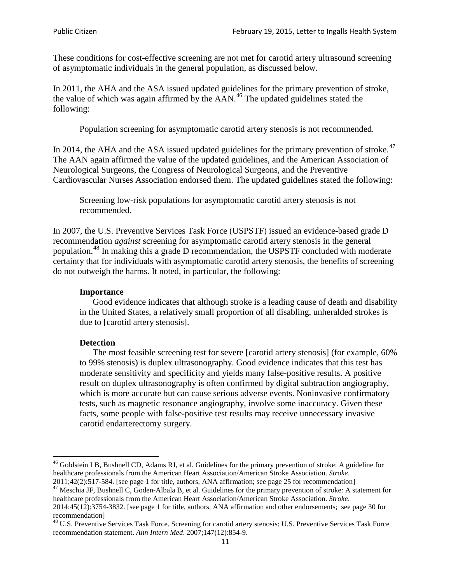These conditions for cost-effective screening are not met for carotid artery ultrasound screening of asymptomatic individuals in the general population, as discussed below.

In 2011, the AHA and the ASA issued updated guidelines for the primary prevention of stroke, the value of which was again affirmed by the  $AAN<sup>46</sup>$  $AAN<sup>46</sup>$  $AAN<sup>46</sup>$ . The updated guidelines stated the following:

Population screening for asymptomatic carotid artery stenosis is not recommended.

In 2014, the AHA and the ASA issued updated guidelines for the primary prevention of stroke.<sup>47</sup> The AAN again affirmed the value of the updated guidelines, and the American Association of Neurological Surgeons, the Congress of Neurological Surgeons, and the Preventive Cardiovascular Nurses Association endorsed them. The updated guidelines stated the following:

Screening low-risk populations for asymptomatic carotid artery stenosis is not recommended.

In 2007, the U.S. Preventive Services Task Force (USPSTF) issued an evidence-based grade D recommendation *against* screening for asymptomatic carotid artery stenosis in the general population.[48](#page-10-2) In making this a grade D recommendation, the USPSTF concluded with moderate certainty that for individuals with asymptomatic carotid artery stenosis, the benefits of screening do not outweigh the harms. It noted, in particular, the following:

#### **Importance**

Good evidence indicates that although stroke is a leading cause of death and disability in the United States, a relatively small proportion of all disabling, unheralded strokes is due to [carotid artery stenosis].

#### **Detection**

The most feasible screening test for severe [carotid artery stenosis] (for example, 60% to 99% stenosis) is duplex ultrasonography. Good evidence indicates that this test has moderate sensitivity and specificity and yields many false-positive results. A positive result on duplex ultrasonography is often confirmed by digital subtraction angiography, which is more accurate but can cause serious adverse events. Noninvasive confirmatory tests, such as magnetic resonance angiography, involve some inaccuracy. Given these facts, some people with false-positive test results may receive unnecessary invasive carotid endarterectomy surgery.

<span id="page-10-0"></span><sup>&</sup>lt;sup>46</sup> Goldstein LB, Bushnell CD, Adams RJ, et al. Guidelines for the primary prevention of stroke: A guideline for healthcare professionals from the American Heart Association/American Stroke Association. *Stroke*.<br>2011;42(2):517-584. [see page 1 for title, authors, ANA affirmation; see page 25 for recommendation]

<span id="page-10-1"></span><sup>&</sup>lt;sup>47</sup> Meschia JF, Bushnell C, Goden-Albala B, et al. Guidelines for the primary prevention of stroke: A statement for healthcare professionals from the American Heart Association/American Stroke Association. *Stroke*. 2014;45(12):3754-3832. [see page 1 for title, authors, ANA affirmation and other endorsements; see page 30 for

recommendation] <sup>48</sup> U.S. Preventive Services Task Force. Screening for carotid artery stenosis: U.S. Preventive Services Task Force

<span id="page-10-2"></span>recommendation statement. *Ann Intern Med*. 2007;147(12):854-9.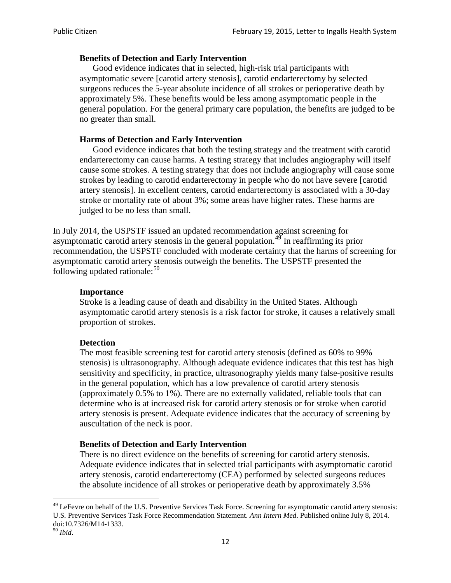### **Benefits of Detection and Early Intervention**

Good evidence indicates that in selected, high-risk trial participants with asymptomatic severe [carotid artery stenosis], carotid endarterectomy by selected surgeons reduces the 5-year absolute incidence of all strokes or perioperative death by approximately 5%. These benefits would be less among asymptomatic people in the general population. For the general primary care population, the benefits are judged to be no greater than small.

### **Harms of Detection and Early Intervention**

Good evidence indicates that both the testing strategy and the treatment with carotid endarterectomy can cause harms. A testing strategy that includes angiography will itself cause some strokes. A testing strategy that does not include angiography will cause some strokes by leading to carotid endarterectomy in people who do not have severe [carotid artery stenosis]. In excellent centers, carotid endarterectomy is associated with a 30-day stroke or mortality rate of about 3%; some areas have higher rates. These harms are judged to be no less than small.

In July 2014, the USPSTF issued an updated recommendation against screening for asymptomatic carotid artery stenosis in the general population.<sup>[49](#page-11-0)</sup> In reaffirming its prior recommendation, the USPSTF concluded with moderate certainty that the harms of screening for asymptomatic carotid artery stenosis outweigh the benefits. The USPSTF presented the following updated rationale: $50$ 

#### **Importance**

Stroke is a leading cause of death and disability in the United States. Although asymptomatic carotid artery stenosis is a risk factor for stroke, it causes a relatively small proportion of strokes.

#### **Detection**

The most feasible screening test for carotid artery stenosis (defined as 60% to 99% stenosis) is ultrasonography. Although adequate evidence indicates that this test has high sensitivity and specificity, in practice, ultrasonography yields many false-positive results in the general population, which has a low prevalence of carotid artery stenosis (approximately 0.5% to 1%). There are no externally validated, reliable tools that can determine who is at increased risk for carotid artery stenosis or for stroke when carotid artery stenosis is present. Adequate evidence indicates that the accuracy of screening by auscultation of the neck is poor.

#### **Benefits of Detection and Early Intervention**

There is no direct evidence on the benefits of screening for carotid artery stenosis. Adequate evidence indicates that in selected trial participants with asymptomatic carotid artery stenosis, carotid endarterectomy (CEA) performed by selected surgeons reduces the absolute incidence of all strokes or perioperative death by approximately 3.5%

<span id="page-11-0"></span><sup>&</sup>lt;sup>49</sup> LeFevre on behalf of the U.S. Preventive Services Task Force. Screening for asymptomatic carotid artery stenosis: U.S. Preventive Services Task Force Recommendation Statement. *Ann Intern Med*. Published online July 8, 2014. doi:10.7326/M14-1333. <sup>50</sup> *Ibid*.

<span id="page-11-1"></span>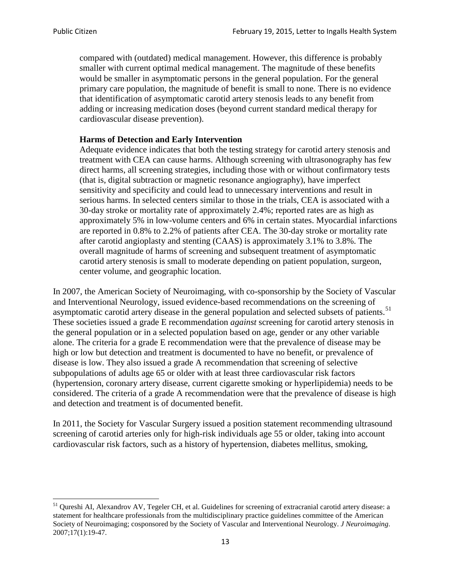compared with (outdated) medical management. However, this difference is probably smaller with current optimal medical management. The magnitude of these benefits would be smaller in asymptomatic persons in the general population. For the general primary care population, the magnitude of benefit is small to none. There is no evidence that identification of asymptomatic carotid artery stenosis leads to any benefit from adding or increasing medication doses (beyond current standard medical therapy for cardiovascular disease prevention).

### **Harms of Detection and Early Intervention**

Adequate evidence indicates that both the testing strategy for carotid artery stenosis and treatment with CEA can cause harms. Although screening with ultrasonography has few direct harms, all screening strategies, including those with or without confirmatory tests (that is, digital subtraction or magnetic resonance angiography), have imperfect sensitivity and specificity and could lead to unnecessary interventions and result in serious harms. In selected centers similar to those in the trials, CEA is associated with a 30-day stroke or mortality rate of approximately 2.4%; reported rates are as high as approximately 5% in low-volume centers and 6% in certain states. Myocardial infarctions are reported in 0.8% to 2.2% of patients after CEA. The 30-day stroke or mortality rate after carotid angioplasty and stenting (CAAS) is approximately 3.1% to 3.8%. The overall magnitude of harms of screening and subsequent treatment of asymptomatic carotid artery stenosis is small to moderate depending on patient population, surgeon, center volume, and geographic location.

In 2007, the American Society of Neuroimaging, with co-sponsorship by the Society of Vascular and Interventional Neurology, issued evidence-based recommendations on the screening of asymptomatic carotid artery disease in the general population and selected subsets of patients.<sup>[51](#page-12-0)</sup> These societies issued a grade E recommendation *against* screening for carotid artery stenosis in the general population or in a selected population based on age, gender or any other variable alone. The criteria for a grade E recommendation were that the prevalence of disease may be high or low but detection and treatment is documented to have no benefit, or prevalence of disease is low. They also issued a grade A recommendation that screening of selective subpopulations of adults age 65 or older with at least three cardiovascular risk factors (hypertension, coronary artery disease, current cigarette smoking or hyperlipidemia) needs to be considered. The criteria of a grade A recommendation were that the prevalence of disease is high and detection and treatment is of documented benefit.

In 2011, the Society for Vascular Surgery issued a position statement recommending ultrasound screening of carotid arteries only for high-risk individuals age 55 or older, taking into account cardiovascular risk factors, such as a history of hypertension, diabetes mellitus, smoking,

<span id="page-12-0"></span><sup>&</sup>lt;sup>51</sup> Qureshi AI, Alexandrov AV, Tegeler CH, et al. Guidelines for screening of extracranial carotid artery disease: a statement for healthcare professionals from the multidisciplinary practice guidelines committee of the American Society of Neuroimaging; cosponsored by the Society of Vascular and Interventional Neurology. *J Neuroimaging*. 2007;17(1):19-47.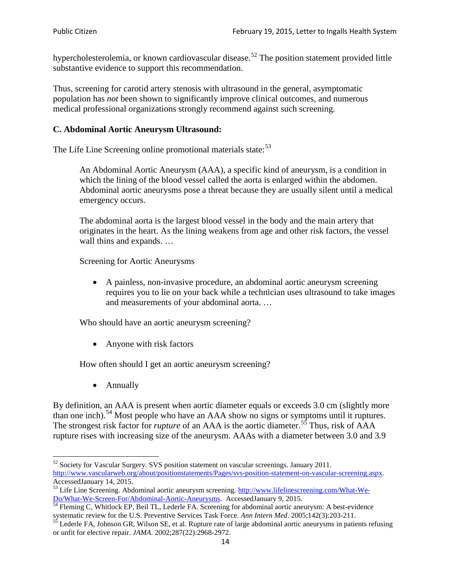hypercholesterolemia, or known cardiovascular disease.<sup>[52](#page-13-0)</sup> The position statement provided little substantive evidence to support this recommendation.

Thus, screening for carotid artery stenosis with ultrasound in the general, asymptomatic population has *not* been shown to significantly improve clinical outcomes, and numerous medical professional organizations strongly recommend against such screening.

### **C. Abdominal Aortic Aneurysm Ultrasound:**

The Life Line Screening online promotional materials state:<sup>[53](#page-13-1)</sup>

An Abdominal Aortic Aneurysm (AAA), a specific kind of aneurysm, is a condition in which the lining of the blood vessel called the aorta is enlarged within the abdomen. Abdominal aortic aneurysms pose a threat because they are usually silent until a medical emergency occurs.

The abdominal aorta is the largest blood vessel in the body and the main artery that originates in the heart. As the lining weakens from age and other risk factors, the vessel wall thins and expands. …

Screening for Aortic Aneurysms

• A painless, non-invasive procedure, an abdominal aortic aneurysm screening requires you to lie on your back while a technician uses ultrasound to take images and measurements of your abdominal aorta. …

Who should have an aortic aneurysm screening?

• Anyone with risk factors

How often should I get an aortic aneurysm screening?

• Annually

By definition, an AAA is present when aortic diameter equals or exceeds 3.0 cm (slightly more than one inch).<sup>[54](#page-13-2)</sup> Most people who have an AAA show no signs or symptoms until it ruptures. The strongest risk factor for *rupture* of an AAA is the aortic diameter.<sup>[55](#page-13-3)</sup> Thus, risk of AAA rupture rises with increasing size of the aneurysm. AAAs with a diameter between 3.0 and 3.9

<span id="page-13-0"></span> $52$  Society for Vascular Surgery. SVS position statement on vascular screenings. January 2011. http://www.vascularweb.org/about/positionstatements/Pages/svs-position-statement-on-vascular-screening.aspx.<br>Accessed January 14, 2015.

<span id="page-13-1"></span>Accessed January 14, 2015.<br>
Sa Life Line Screening. Abdominal aortic aneurysm screening. http://www.lifelinescreening.com/What-We-<br>
Do/What-We-Screen-For/Abdominal-Aortic-Aneurysms. Accessed January 9, 2015.

<span id="page-13-2"></span> $\frac{1}{54}$  Fleming C, Whitlock EP, Beil TL, Lederle FA. Screening for abdominal aortic aneurysm: A best-evidence systematic review for the U.S. Preventive Services Task Force. *Ann Intern Med.* 2005;142(3):203-211.<br><sup>55</sup> Lederle FA, Johnson GR, Wilson SE, et al. Rupture rate of large abdominal aortic aneurysms in patients refusing

<span id="page-13-3"></span>or unfit for elective repair. *JAMA*. 2002;287(22):2968-2972.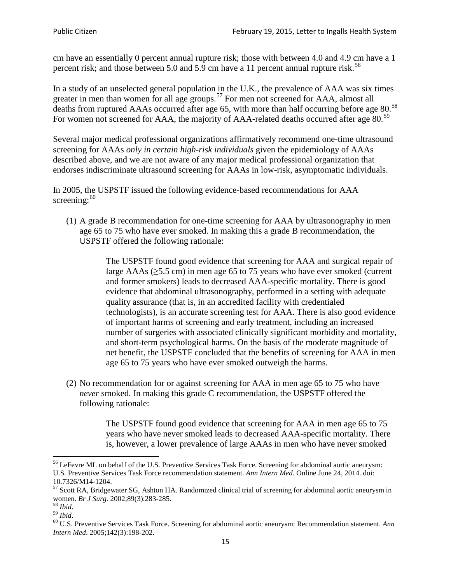cm have an essentially 0 percent annual rupture risk; those with between 4.0 and 4.9 cm have a 1 percent risk; and those between 5.0 and 5.9 cm have a 11 percent annual rupture risk.<sup>[56](#page-14-0)</sup>

In a study of an unselected general population in the U.K., the prevalence of AAA was six times greater in men than women for all age groups.<sup>[57](#page-14-1)</sup> For men not screened for  $AAA$ , almost all deaths from ruptured AAAs occurred after age 65, with more than half occurring before age 80.<sup>[58](#page-14-2)</sup> For women not screened for AAA, the majority of AAA-related deaths occurred after age 80.<sup>[59](#page-14-3)</sup>

Several major medical professional organizations affirmatively recommend one-time ultrasound screening for AAAs *only in certain high-risk individuals* given the epidemiology of AAAs described above, and we are not aware of any major medical professional organization that endorses indiscriminate ultrasound screening for AAAs in low-risk, asymptomatic individuals.

In 2005, the USPSTF issued the following evidence-based recommendations for AAA screening: $60$ 

(1) A grade B recommendation for one-time screening for AAA by ultrasonography in men age 65 to 75 who have ever smoked. In making this a grade [B recommendation,](http://www.uspreventiveservicestaskforce.org/uspstf/gradespre.htm#brec) the USPSTF offered the following rationale:

> The USPSTF found good evidence that screening for AAA and surgical repair of large AAAs ( $\geq$ 5.5 cm) in men age 65 to 75 years who have ever smoked (current and former smokers) leads to decreased AAA-specific mortality. There is good evidence that abdominal ultrasonography, performed in a setting with adequate quality assurance (that is, in an accredited facility with credentialed technologists), is an accurate screening test for AAA. There is also good evidence of important harms of screening and early treatment, including an increased number of surgeries with associated clinically significant morbidity and mortality, and short-term psychological harms. On the basis of the moderate magnitude of net benefit, the USPSTF concluded that the benefits of screening for AAA in men age 65 to 75 years who have ever smoked outweigh the harms.

(2) No recommendation for or against screening for AAA in men age 65 to 75 who have *never* smoked. In making this grade C recommendation, the USPSTF offered the following rationale:

> The USPSTF found good evidence that screening for AAA in men age 65 to 75 years who have never smoked leads to decreased AAA-specific mortality. There is, however, a lower prevalence of large AAAs in men who have never smoked

<span id="page-14-0"></span><sup>&</sup>lt;sup>56</sup> LeFevre ML on behalf of the U.S. Preventive Services Task Force. Screening for abdominal aortic aneurysm: U.S. Preventive Services Task Force recommendation statement. *Ann Intern Med*. Online June 24, 2014. doi:

<span id="page-14-1"></span><sup>10.7326/</sup>M14-1204.<br> $57$  Scott RA, Bridgewater SG, Ashton HA. Randomized clinical trial of screening for abdominal aortic aneurysm in women. *Br J Surg.* 2002;89(3):283-285.

<span id="page-14-4"></span><span id="page-14-3"></span>

<span id="page-14-2"></span><sup>&</sup>lt;sup>58</sup> *Ibid.*<br><sup>59</sup> *Ibid.* 2002;<br><sup>60</sup> U.S. Preventive Services Task Force. Screening for abdominal aortic aneurysm: Recommendation statement. *Ann Intern Med*. 2005;142(3):198-202.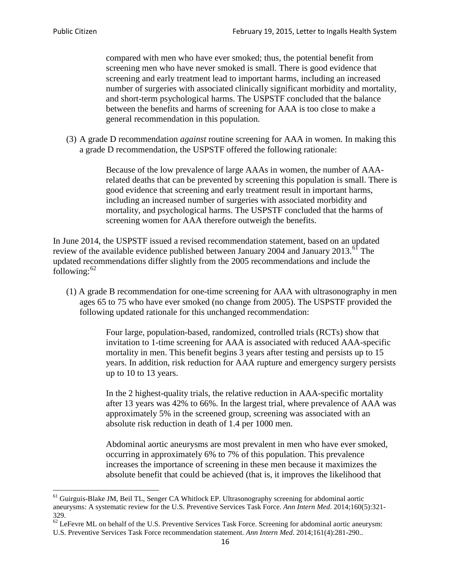compared with men who have ever smoked; thus, the potential benefit from screening men who have never smoked is small. There is good evidence that screening and early treatment lead to important harms, including an increased number of surgeries with associated clinically significant morbidity and mortality, and short-term psychological harms. The USPSTF concluded that the balance between the benefits and harms of screening for AAA is too close to make a general recommendation in this population.

(3) A grade D recommendation *against* routine screening for AAA in women. In making this a grade D recommendation, the USPSTF offered the following rationale:

> Because of the low prevalence of large AAAs in women, the number of AAArelated deaths that can be prevented by screening this population is small. There is good evidence that screening and early treatment result in important harms, including an increased number of surgeries with associated morbidity and mortality, and psychological harms. The USPSTF concluded that the harms of screening women for AAA therefore outweigh the benefits.

In June 2014, the USPSTF issued a revised recommendation statement, based on an updated review of the available evidence published between January 2004 and January 2013.<sup>[61](#page-15-0)</sup> The updated recommendations differ slightly from the 2005 recommendations and include the following: $62$ 

(1) A grade B recommendation for one-time screening for AAA with ultrasonography in men ages 65 to 75 who have ever smoked (no change from 2005). The USPSTF provided the following updated rationale for this unchanged recommendation:

> Four large, population-based, randomized, controlled trials (RCTs) show that invitation to 1-time screening for AAA is associated with reduced AAA-specific mortality in men. This benefit begins 3 years after testing and persists up to 15 years. In addition, risk reduction for AAA rupture and emergency surgery persists up to 10 to 13 years.

> In the 2 highest-quality trials, the relative reduction in AAA-specific mortality after 13 years was 42% to 66%. In the largest trial, where prevalence of AAA was approximately 5% in the screened group, screening was associated with an absolute risk reduction in death of 1.4 per 1000 men.

Abdominal aortic aneurysms are most prevalent in men who have ever smoked, occurring in approximately 6% to 7% of this population. This prevalence increases the importance of screening in these men because it maximizes the absolute benefit that could be achieved (that is, it improves the likelihood that

<span id="page-15-0"></span><sup>61</sup> Guirguis-Blake JM, Beil TL, Senger CA Whitlock EP. Ultrasonography screening for abdominal aortic aneurysms: A systematic review for the U.S. Preventive Services Task Force. *Ann Intern Med*. 2014;160(5):321- 329.

<span id="page-15-1"></span> $62$  LeFevre ML on behalf of the U.S. Preventive Services Task Force. Screening for abdominal aortic aneurysm: U.S. Preventive Services Task Force recommendation statement. *Ann Intern Med*. 2014;161(4):281-290..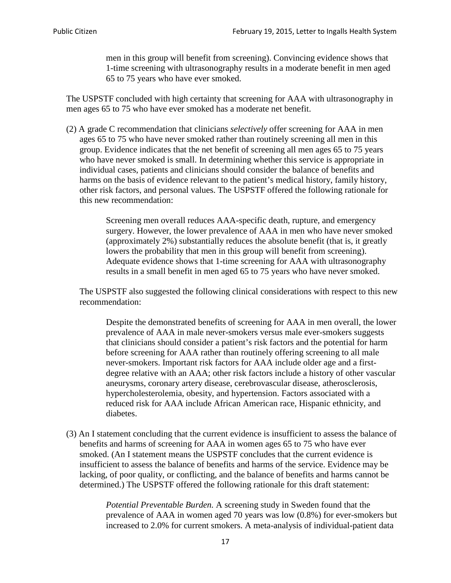men in this group will benefit from screening). Convincing evidence shows that 1-time screening with ultrasonography results in a moderate benefit in men aged 65 to 75 years who have ever smoked.

The USPSTF concluded with high certainty that screening for AAA with ultrasonography in men ages 65 to 75 who have ever smoked has a moderate net benefit.

(2) A grade C recommendation that clinicians *selectively* offer screening for AAA in men ages 65 to 75 who have never smoked rather than routinely screening all men in this group. Evidence indicates that the net benefit of screening all men ages 65 to 75 years who have never smoked is small. In determining whether this service is appropriate in individual cases, patients and clinicians should consider the balance of benefits and harms on the basis of evidence relevant to the patient's medical history, family history, other risk factors, and personal values. The USPSTF offered the following rationale for this new recommendation:

> Screening men overall reduces AAA-specific death, rupture, and emergency surgery. However, the lower prevalence of AAA in men who have never smoked (approximately 2%) substantially reduces the absolute benefit (that is, it greatly lowers the probability that men in this group will benefit from screening). Adequate evidence shows that 1-time screening for AAA with ultrasonography results in a small benefit in men aged 65 to 75 years who have never smoked.

The USPSTF also suggested the following clinical considerations with respect to this new recommendation:

Despite the demonstrated benefits of screening for AAA in men overall, the lower prevalence of AAA in male never-smokers versus male ever-smokers suggests that clinicians should consider a patient's risk factors and the potential for harm before screening for AAA rather than routinely offering screening to all male never-smokers. Important risk factors for AAA include older age and a firstdegree relative with an AAA; other risk factors include a history of other vascular aneurysms, coronary artery disease, cerebrovascular disease, atherosclerosis, hypercholesterolemia, obesity, and hypertension. Factors associated with a reduced risk for AAA include African American race, Hispanic ethnicity, and diabetes.

(3) An I statement concluding that the current evidence is insufficient to assess the balance of benefits and harms of screening for AAA in women ages 65 to 75 who have ever smoked. (An I statement means the USPSTF concludes that the current evidence is insufficient to assess the balance of benefits and harms of the service. Evidence may be lacking, of poor quality, or conflicting, and the balance of benefits and harms cannot be determined.) The USPSTF offered the following rationale for this draft statement:

> *Potential Preventable Burden.* A screening study in Sweden found that the prevalence of AAA in women aged 70 years was low (0.8%) for ever-smokers but increased to 2.0% for current smokers. A meta-analysis of individual-patient data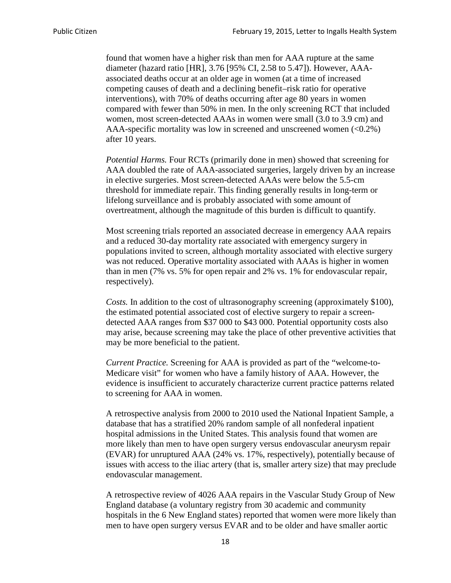found that women have a higher risk than men for AAA rupture at the same diameter (hazard ratio [HR], 3.76 [95% CI, 2.58 to 5.47]). However, AAAassociated deaths occur at an older age in women (at a time of increased competing causes of death and a declining benefit–risk ratio for operative interventions), with 70% of deaths occurring after age 80 years in women compared with fewer than 50% in men. In the only screening RCT that included women, most screen-detected AAAs in women were small (3.0 to 3.9 cm) and AAA-specific mortality was low in screened and unscreened women  $(<0.2\%)$ after 10 years.

*Potential Harms.* Four RCTs (primarily done in men) showed that screening for AAA doubled the rate of AAA-associated surgeries, largely driven by an increase in elective surgeries. Most screen-detected AAAs were below the 5.5-cm threshold for immediate repair. This finding generally results in long-term or lifelong surveillance and is probably associated with some amount of overtreatment, although the magnitude of this burden is difficult to quantify.

Most screening trials reported an associated decrease in emergency AAA repairs and a reduced 30-day mortality rate associated with emergency surgery in populations invited to screen, although mortality associated with elective surgery was not reduced. Operative mortality associated with AAAs is higher in women than in men (7% vs. 5% for open repair and 2% vs. 1% for endovascular repair, respectively).

*Costs.* In addition to the cost of ultrasonography screening (approximately \$100), the estimated potential associated cost of elective surgery to repair a screendetected AAA ranges from \$37 000 to \$43 000. Potential opportunity costs also may arise, because screening may take the place of other preventive activities that may be more beneficial to the patient.

*Current Practice.* Screening for AAA is provided as part of the "welcome-to-Medicare visit" for women who have a family history of AAA. However, the evidence is insufficient to accurately characterize current practice patterns related to screening for AAA in women.

A retrospective analysis from 2000 to 2010 used the National Inpatient Sample, a database that has a stratified 20% random sample of all nonfederal inpatient hospital admissions in the United States. This analysis found that women are more likely than men to have open surgery versus endovascular aneurysm repair (EVAR) for unruptured AAA (24% vs. 17%, respectively), potentially because of issues with access to the iliac artery (that is, smaller artery size) that may preclude endovascular management.

A retrospective review of 4026 AAA repairs in the Vascular Study Group of New England database (a voluntary registry from 30 academic and community hospitals in the 6 New England states) reported that women were more likely than men to have open surgery versus EVAR and to be older and have smaller aortic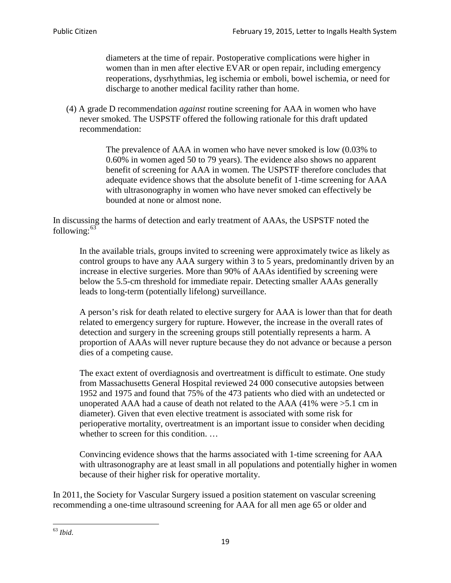diameters at the time of repair. Postoperative complications were higher in women than in men after elective EVAR or open repair, including emergency reoperations, dysrhythmias, leg ischemia or emboli, bowel ischemia, or need for discharge to another medical facility rather than home.

(4) A grade D recommendation *against* routine screening for AAA in women who have never smoked. The USPSTF offered the following rationale for this draft updated recommendation:

> The prevalence of AAA in women who have never smoked is low (0.03% to 0.60% in women aged 50 to 79 years). The evidence also shows no apparent benefit of screening for AAA in women. The USPSTF therefore concludes that adequate evidence shows that the absolute benefit of 1-time screening for AAA with ultrasonography in women who have never smoked can effectively be bounded at none or almost none.

In discussing the harms of detection and early treatment of AAAs, the USPSTF noted the following: $63$ 

In the available trials, groups invited to screening were approximately twice as likely as control groups to have any AAA surgery within 3 to 5 years, predominantly driven by an increase in elective surgeries. More than 90% of AAAs identified by screening were below the 5.5-cm threshold for immediate repair. Detecting smaller AAAs generally leads to long-term (potentially lifelong) surveillance.

A person's risk for death related to elective surgery for AAA is lower than that for death related to emergency surgery for rupture. However, the increase in the overall rates of detection and surgery in the screening groups still potentially represents a harm. A proportion of AAAs will never rupture because they do not advance or because a person dies of a competing cause.

The exact extent of overdiagnosis and overtreatment is difficult to estimate. One study from Massachusetts General Hospital reviewed 24 000 consecutive autopsies between 1952 and 1975 and found that 75% of the 473 patients who died with an undetected or unoperated AAA had a cause of death not related to the AAA (41% were >5.1 cm in diameter). Given that even elective treatment is associated with some risk for perioperative mortality, overtreatment is an important issue to consider when deciding whether to screen for this condition....

Convincing evidence shows that the harms associated with 1-time screening for AAA with ultrasonography are at least small in all populations and potentially higher in women because of their higher risk for operative mortality.

In 2011, the Society for Vascular Surgery issued a position statement on vascular screening recommending a one-time ultrasound screening for AAA for all men age 65 or older and

<span id="page-18-0"></span><sup>63</sup> *Ibid*.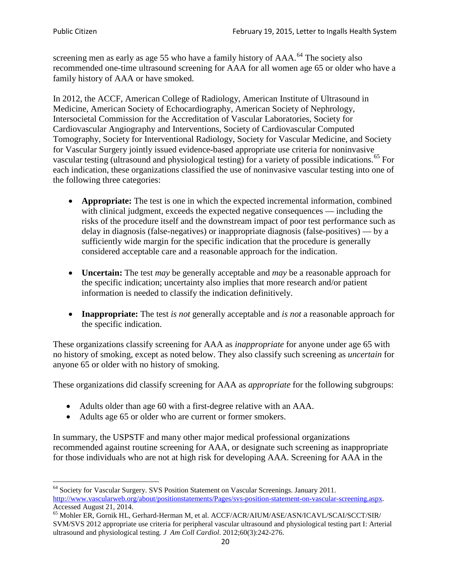screening men as early as age 55 who have a family history of AAA.<sup>[64](#page-19-0)</sup> The society also recommended one-time ultrasound screening for AAA for all women age 65 or older who have a family history of AAA or have smoked.

In 2012, the ACCF, American College of Radiology, American Institute of Ultrasound in Medicine, American Society of Echocardiography, American Society of Nephrology, Intersocietal Commission for the Accreditation of Vascular Laboratories, Society for Cardiovascular Angiography and Interventions, Society of Cardiovascular Computed Tomography, Society for Interventional Radiology, Society for Vascular Medicine, and Society for Vascular Surgery jointly issued evidence-based appropriate use criteria for noninvasive vascular testing (ultrasound and physiological testing) for a variety of possible indications.<sup>[65](#page-19-1)</sup> For each indication, these organizations classified the use of noninvasive vascular testing into one of the following three categories:

- **Appropriate:** The test is one in which the expected incremental information, combined with clinical judgment, exceeds the expected negative consequences — including the risks of the procedure itself and the downstream impact of poor test performance such as delay in diagnosis (false-negatives) or inappropriate diagnosis (false-positives) — by a sufficiently wide margin for the specific indication that the procedure is generally considered acceptable care and a reasonable approach for the indication.
- **Uncertain:** The test *may* be generally acceptable and *may* be a reasonable approach for the specific indication; uncertainty also implies that more research and/or patient information is needed to classify the indication definitively.
- **Inappropriate:** The test *is not* generally acceptable and *is not* a reasonable approach for the specific indication.

These organizations classify screening for AAA as *inappropriate* for anyone under age 65 with no history of smoking, except as noted below. They also classify such screening as *uncertain* for anyone 65 or older with no history of smoking.

These organizations did classify screening for AAA as *appropriate* for the following subgroups:

- Adults older than age 60 with a first-degree relative with an AAA.
- Adults age 65 or older who are current or former smokers.

In summary, the USPSTF and many other major medical professional organizations recommended against routine screening for AAA, or designate such screening as inappropriate for those individuals who are not at high risk for developing AAA. Screening for AAA in the

<span id="page-19-0"></span><sup>64</sup> Society for Vascular Surgery. SVS Position Statement on Vascular Screenings. January 2011. [http://www.vascularweb.org/about/positionstatements/Pages/svs-position-statement-on-vascular-screening.aspx.](http://www.vascularweb.org/about/positionstatements/Pages/svs-position-statement-on-vascular-screening.aspx) 

<span id="page-19-1"></span>Accessed August 21, 2014.<br><sup>65</sup> Mohler ER, Gornik HL, Gerhard-Herman M, et al. ACCF/ACR/AIUM/ASE/ASN/ICAVL/SCAI/SCCT/SIR/ SVM/SVS 2012 appropriate use criteria for peripheral vascular ultrasound and physiological testing part I: Arterial ultrasound and physiological testing*. J Am Coll Cardiol*. 2012;60(3):242-276.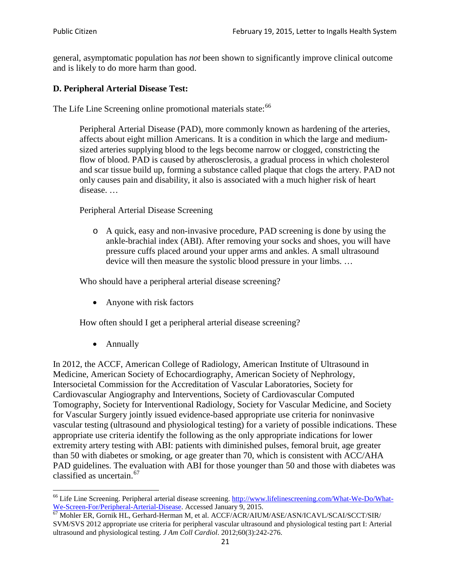general, asymptomatic population has *not* been shown to significantly improve clinical outcome and is likely to do more harm than good.

## **D. Peripheral Arterial Disease Test:**

The Life Line Screening online promotional materials state:<sup>[66](#page-20-0)</sup>

Peripheral Arterial Disease (PAD), more commonly known as hardening of the arteries, affects about eight million Americans. It is a condition in which the large and mediumsized arteries supplying blood to the legs become narrow or clogged, constricting the flow of blood. PAD is caused by atherosclerosis, a gradual process in which cholesterol and scar tissue build up, forming a substance called plaque that clogs the artery. PAD not only causes pain and disability, it also is associated with a much higher risk of heart disease. …

Peripheral Arterial Disease Screening

o A quick, easy and non-invasive procedure, PAD screening is done by using the ankle-brachial index (ABI). After removing your socks and shoes, you will have pressure cuffs placed around your upper arms and ankles. A small ultrasound device will then measure the systolic blood pressure in your limbs. …

Who should have a peripheral arterial disease screening?

• Anyone with risk factors

How often should I get a peripheral arterial disease screening?

• Annually

In 2012, the ACCF, American College of Radiology, American Institute of Ultrasound in Medicine, American Society of Echocardiography, American Society of Nephrology, Intersocietal Commission for the Accreditation of Vascular Laboratories, Society for Cardiovascular Angiography and Interventions, Society of Cardiovascular Computed Tomography, Society for Interventional Radiology, Society for Vascular Medicine, and Society for Vascular Surgery jointly issued evidence-based appropriate use criteria for noninvasive vascular testing (ultrasound and physiological testing) for a variety of possible indications. These appropriate use criteria identify the following as the only appropriate indications for lower extremity artery testing with ABI: patients with diminished pulses, femoral bruit, age greater than 50 with diabetes or smoking, or age greater than 70, which is consistent with ACC/AHA PAD guidelines. The evaluation with ABI for those younger than 50 and those with diabetes was classified as uncertain.<sup>[67](#page-20-1)</sup>

<span id="page-20-0"></span><sup>&</sup>lt;sup>66</sup> Life Line Screening. Peripheral arterial disease screening. [http://www.lifelinescreening.com/What-We-Do/What-](http://www.lifelinescreening.com/What-We-Do/What-We-Screen-For/Peripheral-Arterial-Disease)[We-Screen-For/Peripheral-Arterial-Disease.](http://www.lifelinescreening.com/What-We-Do/What-We-Screen-For/Peripheral-Arterial-Disease) Accessed January 9, 2015.<br><sup>67</sup> Mohler ER, Gornik HL, Gerhard-Herman M, et al. ACCF/ACR/AIUM/ASE/ASN/ICAVL/SCAI/SCCT/SIR/

<span id="page-20-1"></span>SVM/SVS 2012 appropriate use criteria for peripheral vascular ultrasound and physiological testing part I: Arterial ultrasound and physiological testing. *J Am Coll Cardiol*. 2012;60(3):242-276.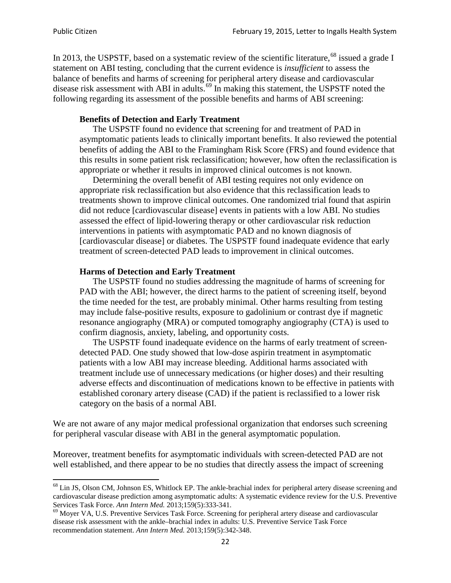In 2013, the USPSTF, based on a systematic review of the scientific literature,<sup>[68](#page-21-0)</sup> issued a grade I statement on ABI testing, concluding that the current evidence is *insufficient* to assess the balance of benefits and harms of screening for peripheral artery disease and cardiovascular disease risk assessment with ABI in adults.<sup>[69](#page-21-1)</sup> In making this statement, the USPSTF noted the following regarding its assessment of the possible benefits and harms of ABI screening:

### **Benefits of Detection and Early Treatment**

The USPSTF found no evidence that screening for and treatment of PAD in asymptomatic patients leads to clinically important benefits. It also reviewed the potential benefits of adding the ABI to the Framingham Risk Score (FRS) and found evidence that this results in some patient risk reclassification; however, how often the reclassification is appropriate or whether it results in improved clinical outcomes is not known.

Determining the overall benefit of ABI testing requires not only evidence on appropriate risk reclassification but also evidence that this reclassification leads to treatments shown to improve clinical outcomes. One randomized trial found that aspirin did not reduce [cardiovascular disease] events in patients with a low ABI. No studies assessed the effect of lipid-lowering therapy or other cardiovascular risk reduction interventions in patients with asymptomatic PAD and no known diagnosis of [cardiovascular disease] or diabetes. The USPSTF found inadequate evidence that early treatment of screen-detected PAD leads to improvement in clinical outcomes.

### **Harms of Detection and Early Treatment**

The USPSTF found no studies addressing the magnitude of harms of screening for PAD with the ABI; however, the direct harms to the patient of screening itself, beyond the time needed for the test, are probably minimal. Other harms resulting from testing may include false-positive results, exposure to gadolinium or contrast dye if magnetic resonance angiography (MRA) or computed tomography angiography (CTA) is used to confirm diagnosis, anxiety, labeling, and opportunity costs.

The USPSTF found inadequate evidence on the harms of early treatment of screendetected PAD. One study showed that low-dose aspirin treatment in asymptomatic patients with a low ABI may increase bleeding. Additional harms associated with treatment include use of unnecessary medications (or higher doses) and their resulting adverse effects and discontinuation of medications known to be effective in patients with established coronary artery disease (CAD) if the patient is reclassified to a lower risk category on the basis of a normal ABI.

We are not aware of any major medical professional organization that endorses such screening for peripheral vascular disease with ABI in the general asymptomatic population.

Moreover, treatment benefits for asymptomatic individuals with screen-detected PAD are not well established, and there appear to be no studies that directly assess the impact of screening

<span id="page-21-0"></span><sup>&</sup>lt;sup>68</sup> Lin JS, Olson CM, Johnson ES, Whitlock EP. The ankle-brachial index for peripheral artery disease screening and cardiovascular disease prediction among asymptomatic adults: A systematic evidence review for the U.S. Preventive Services Task Force. *Ann Intern Med.* 2013;159(5):333-341.<br><sup>69</sup> Moyer VA, U.S. Preventive Services Task Force. Screening for peripheral artery disease and cardiovascular

<span id="page-21-1"></span>disease risk assessment with the ankle–brachial index in adults: U.S. Preventive Service Task Force recommendation statement. *Ann Intern Med.* 2013;159(5):342-348.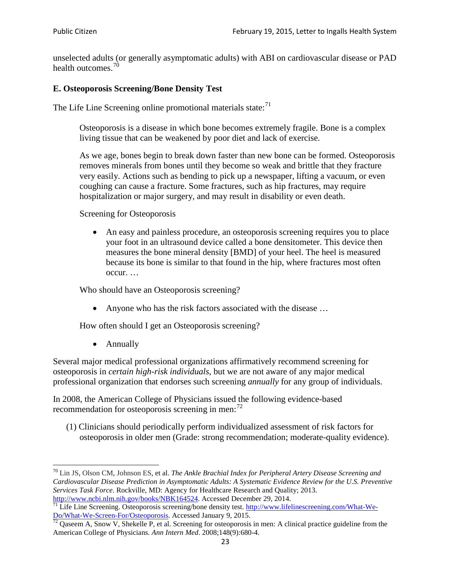unselected adults (or generally asymptomatic adults) with ABI on cardiovascular disease or PAD health outcomes.<sup>[70](#page-22-0)</sup>

## **E. Osteoporosis Screening/Bone Density Test**

The Life Line Screening online promotional materials state: $71$ 

Osteoporosis is a disease in which bone becomes extremely fragile. Bone is a complex living tissue that can be weakened by poor diet and lack of exercise.

As we age, bones begin to break down faster than new bone can be formed. Osteoporosis removes minerals from bones until they become so weak and brittle that they fracture very easily. Actions such as bending to pick up a newspaper, lifting a vacuum, or even coughing can cause a fracture. Some fractures, such as hip fractures, may require hospitalization or major surgery, and may result in disability or even death.

Screening for Osteoporosis

• An easy and painless procedure, an osteoporosis screening requires you to place your foot in an ultrasound device called a bone densitometer. This device then measures the bone mineral density [BMD] of your heel. The heel is measured because its bone is similar to that found in the hip, where fractures most often occur. …

Who should have an Osteoporosis screening?

• Anyone who has the risk factors associated with the disease ...

How often should I get an Osteoporosis screening?

• Annually

Several major medical professional organizations affirmatively recommend screening for osteoporosis in *certain high-risk individuals*, but we are not aware of any major medical professional organization that endorses such screening *annually* for any group of individuals.

In 2008, the American College of Physicians issued the following evidence-based recommendation for osteoporosis screening in men: $^{72}$  $^{72}$  $^{72}$ 

(1) Clinicians should periodically perform individualized assessment of risk factors for osteoporosis in older men (Grade: strong recommendation; moderate-quality evidence).

<span id="page-22-0"></span><sup>70</sup> [Lin JS,](http://www.ncbi.nlm.nih.gov/pubmed?term=Lin%20JS%5BAuthor%5D&cauthor=true&cauthor_uid=24156115) [Olson CM,](http://www.ncbi.nlm.nih.gov/pubmed?term=Olson%20CM%5BAuthor%5D&cauthor=true&cauthor_uid=24156115) [Johnson ES,](http://www.ncbi.nlm.nih.gov/pubmed?term=Johnson%20ES%5BAuthor%5D&cauthor=true&cauthor_uid=24156115) et al. *The Ankle Brachial Index for Peripheral Artery Disease Screening and Cardiovascular Disease Prediction in Asymptomatic Adults: A Systematic Evidence Review for the U.S. Preventive Services Task Force*. Rockville, MD: Agency for Healthcare Research and Quality; 2013.<br>http://www.ncbi.nlm.nih.gov/books/NBK164524. Accessed December 29, 2014.

<span id="page-22-1"></span> $\frac{1}{71}$  Life Line Screening. Osteoporosis screening/bone density test. [http://www.lifelinescreening.com/What-We-](http://www.lifelinescreening.com/What-We-Do/What-We-Screen-For/Osteoporosis) $\frac{Do/What-We-Screen-For/Osteoporosis}{72}$  Qaseem A, Snow V, Shekelle P, et al. Screening for osteoporosis in men: A clinical practice guideline from the

<span id="page-22-2"></span>American College of Physicians. *Ann Intern Med*. 2008;148(9):680-4.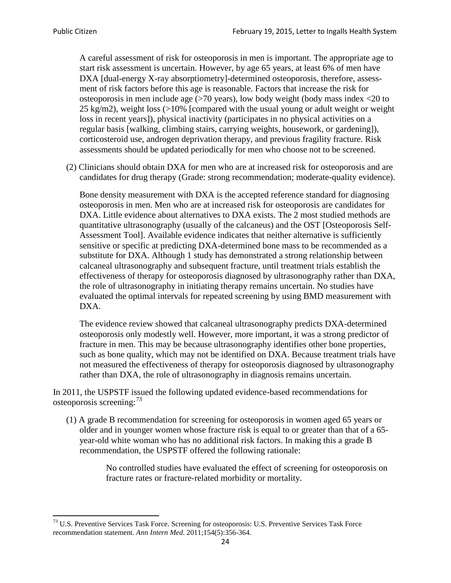A careful assessment of risk for osteoporosis in men is important. The appropriate age to start risk assessment is uncertain. However, by age 65 years, at least 6% of men have DXA [dual-energy X-ray absorptiometry]-determined osteoporosis, therefore, assessment of risk factors before this age is reasonable. Factors that increase the risk for osteoporosis in men include age (>70 years), low body weight (body mass index <20 to 25 kg/m2), weight loss (>10% [compared with the usual young or adult weight or weight loss in recent years]), physical inactivity (participates in no physical activities on a regular basis [walking, climbing stairs, carrying weights, housework, or gardening]), corticosteroid use, androgen deprivation therapy, and previous fragility fracture. Risk assessments should be updated periodically for men who choose not to be screened.

(2) Clinicians should obtain DXA for men who are at increased risk for osteoporosis and are candidates for drug therapy (Grade: strong recommendation; moderate-quality evidence).

Bone density measurement with DXA is the accepted reference standard for diagnosing osteoporosis in men. Men who are at increased risk for osteoporosis are candidates for DXA. Little evidence about alternatives to DXA exists. The 2 most studied methods are quantitative ultrasonography (usually of the calcaneus) and the OST [Osteoporosis Self-Assessment Tool]. Available evidence indicates that neither alternative is sufficiently sensitive or specific at predicting DXA-determined bone mass to be recommended as a substitute for DXA. Although 1 study has demonstrated a strong relationship between calcaneal ultrasonography and subsequent fracture, until treatment trials establish the effectiveness of therapy for osteoporosis diagnosed by ultrasonography rather than DXA, the role of ultrasonography in initiating therapy remains uncertain. No studies have evaluated the optimal intervals for repeated screening by using BMD measurement with DXA.

The evidence review showed that calcaneal ultrasonography predicts DXA-determined osteoporosis only modestly well. However, more important, it was a strong predictor of fracture in men. This may be because ultrasonography identifies other bone properties, such as bone quality, which may not be identified on DXA. Because treatment trials have not measured the effectiveness of therapy for osteoporosis diagnosed by ultrasonography rather than DXA, the role of ultrasonography in diagnosis remains uncertain.

In 2011, the USPSTF issued the following updated evidence-based recommendations for osteoporosis screening:<sup>[73](#page-23-0)</sup>

(1) A grade B recommendation for screening for osteoporosis in women aged 65 years or older and in younger women whose fracture risk is equal to or greater than that of a 65 year-old white woman who has no additional risk factors. In making this a grade B recommendation, the USPSTF offered the following rationale:

> No controlled studies have evaluated the effect of screening for osteoporosis on fracture rates or fracture-related morbidity or mortality.

<span id="page-23-0"></span><sup>&</sup>lt;sup>73</sup> U.S. Preventive Services Task Force. Screening for osteoporosis: U.S. Preventive Services Task Force recommendation statement. *Ann Intern Med*. 2011;154(5):356-364.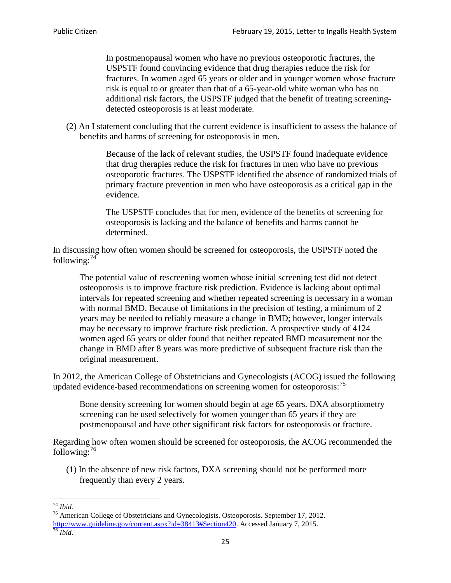In postmenopausal women who have no previous osteoporotic fractures, the USPSTF found convincing evidence that drug therapies reduce the risk for fractures. In women aged 65 years or older and in younger women whose fracture risk is equal to or greater than that of a 65-year-old white woman who has no additional risk factors, the USPSTF judged that the benefit of treating screeningdetected osteoporosis is at least moderate.

(2) An I statement concluding that the current evidence is insufficient to assess the balance of benefits and harms of screening for osteoporosis in men.

> Because of the lack of relevant studies, the USPSTF found inadequate evidence that drug therapies reduce the risk for fractures in men who have no previous osteoporotic fractures. The USPSTF identified the absence of randomized trials of primary fracture prevention in men who have osteoporosis as a critical gap in the evidence.

The USPSTF concludes that for men, evidence of the benefits of screening for osteoporosis is lacking and the balance of benefits and harms cannot be determined.

In discussing how often women should be screened for osteoporosis, the USPSTF noted the following: $74$ 

The potential value of rescreening women whose initial screening test did not detect osteoporosis is to improve fracture risk prediction. Evidence is lacking about optimal intervals for repeated screening and whether repeated screening is necessary in a woman with normal BMD. Because of limitations in the precision of testing, a minimum of 2 years may be needed to reliably measure a change in BMD; however, longer intervals may be necessary to improve fracture risk prediction. A prospective study of 4124 women aged 65 years or older found that neither repeated BMD measurement nor the change in BMD after 8 years was more predictive of subsequent fracture risk than the original measurement.

In 2012, the American College of Obstetricians and Gynecologists (ACOG) issued the following updated evidence-based recommendations on screening women for osteoporosis:<sup>[75](#page-24-1)</sup>

Bone density screening for women should begin at age 65 years. DXA absorptiometry screening can be used selectively for women younger than 65 years if they are postmenopausal and have other significant risk factors for osteoporosis or fracture.

Regarding how often women should be screened for osteoporosis, the ACOG recommended the following: $^{76}$  $^{76}$  $^{76}$ 

(1) In the absence of new risk factors, DXA screening should not be performed more frequently than every 2 years.

<span id="page-24-2"></span><span id="page-24-1"></span><span id="page-24-0"></span><sup>74</sup> *Ibid.* <sup>75</sup> American College of Obstetricians and Gynecologists. Osteoporosis. September 17, 2012. [http://www.guideline.gov/content.aspx?id=38413#Section420.](http://www.guideline.gov/content.aspx?id=38413#Section420) Accessed January 7, 2015.<br><sup>76</sup> *Ibid.*